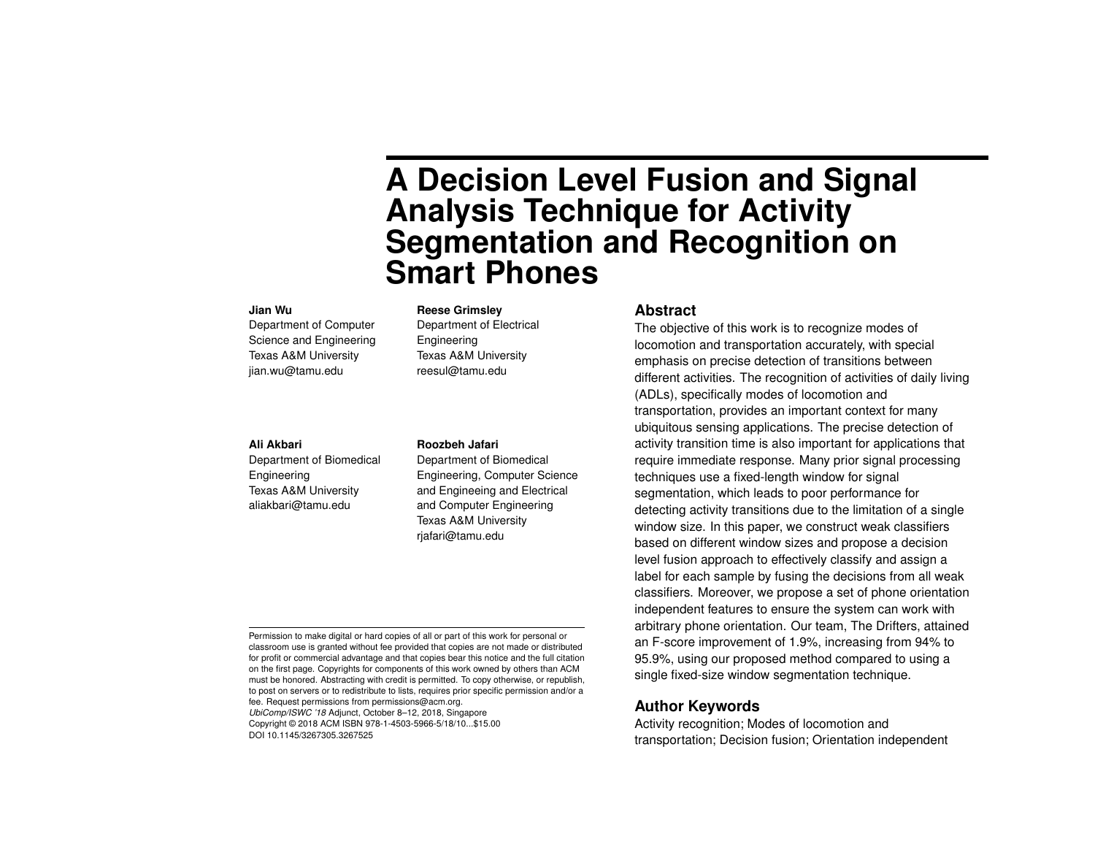# **A Decision Level Fusion and Signal Analysis Technique for Activity Segmentation and Recognition on Smart Phones**

#### **Jian Wu**

Department of Computer Science and Engineering Texas A&M University jian.wu@tamu.edu

#### **Ali Akbari**

Department of Biomedical Engineering Texas A&M University aliakbari@tamu.edu

# **Reese Grimsley**

Department of Electrical Engineering Texas A&M University reesul@tamu.edu

#### **Roozbeh Jafari**

Department of Biomedical Engineering, Computer Science and Engineeing and Electrical and Computer Engineering Texas A&M University rjafari@tamu.edu

Permission to make digital or hard copies of all or part of this work for personal or classroom use is granted without fee provided that copies are not made or distributed for profit or commercial advantage and that copies bear this notice and the full citation on the first page. Copyrights for components of this work owned by others than ACM must be honored. Abstracting with credit is permitted. To copy otherwise, or republish, to post on servers or to redistribute to lists, requires prior specific permission and/or a fee. Request permissions from permissions@acm.org. *UbiComp/ISWC '18* Adjunct, October 8–12, 2018, Singapore Copyright © 2018 ACM ISBN 978-1-4503-5966-5/18/10...\$15.00

DOI 10.1145/3267305.3267525

#### **Abstract**

The objective of this work is to recognize modes of locomotion and transportation accurately, with special emphasis on precise detection of transitions between different activities. The recognition of activities of daily living (ADLs), specifically modes of locomotion and transportation, provides an important context for many ubiquitous sensing applications. The precise detection of activity transition time is also important for applications that require immediate response. Many prior signal processing techniques use a fixed-length window for signal segmentation, which leads to poor performance for detecting activity transitions due to the limitation of a single window size. In this paper, we construct weak classifiers based on different window sizes and propose a decision level fusion approach to effectively classify and assign a label for each sample by fusing the decisions from all weak classifiers. Moreover, we propose a set of phone orientation independent features to ensure the system can work with arbitrary phone orientation. Our team, The Drifters, attained an F-score improvement of 1.9%, increasing from 94% to 95.9%, using our proposed method compared to using a single fixed-size window segmentation technique.

# **Author Keywords**

Activity recognition; Modes of locomotion and transportation; Decision fusion; Orientation independent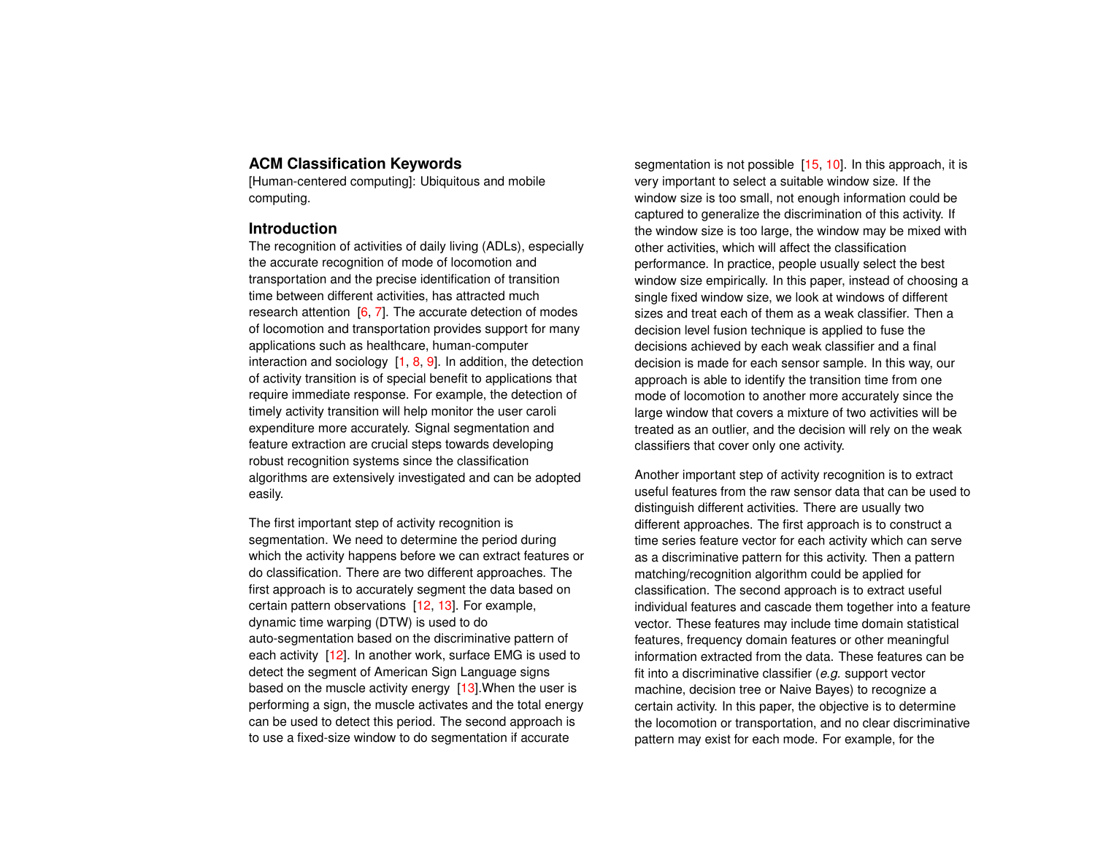# **ACM Classification Keywords**

[Human-centered computing]: Ubiquitous and mobile computing.

# **Introduction**

The recognition of activities of daily living (ADLs), especially the accurate recognition of mode of locomotion and transportation and the precise identification of transition time between different activities, has attracted much research attention [\[6,](#page-7-0) [7\]](#page-7-1). The accurate detection of modes of locomotion and transportation provides support for many applications such as healthcare, human-computer interaction and sociology  $[1, 8, 9]$  $[1, 8, 9]$  $[1, 8, 9]$  $[1, 8, 9]$  $[1, 8, 9]$ . In addition, the detection of activity transition is of special benefit to applications that require immediate response. For example, the detection of timely activity transition will help monitor the user caroli expenditure more accurately. Signal segmentation and feature extraction are crucial steps towards developing robust recognition systems since the classification algorithms are extensively investigated and can be adopted easily.

The first important step of activity recognition is segmentation. We need to determine the period during which the activity happens before we can extract features or do classification. There are two different approaches. The first approach is to accurately segment the data based on certain pattern observations [\[12,](#page-7-5) [13\]](#page-7-6). For example, dynamic time warping (DTW) is used to do auto-segmentation based on the discriminative pattern of each activity [\[12\]](#page-7-5). In another work, surface EMG is used to detect the segment of American Sign Language signs based on the muscle activity energy  $[13]$ . When the user is performing a sign, the muscle activates and the total energy can be used to detect this period. The second approach is to use a fixed-size window to do segmentation if accurate

segmentation is not possible [\[15,](#page-7-7) [10\]](#page-7-8). In this approach, it is very important to select a suitable window size. If the window size is too small, not enough information could be captured to generalize the discrimination of this activity. If the window size is too large, the window may be mixed with other activities, which will affect the classification performance. In practice, people usually select the best window size empirically. In this paper, instead of choosing a single fixed window size, we look at windows of different sizes and treat each of them as a weak classifier. Then a decision level fusion technique is applied to fuse the decisions achieved by each weak classifier and a final decision is made for each sensor sample. In this way, our approach is able to identify the transition time from one mode of locomotion to another more accurately since the large window that covers a mixture of two activities will be treated as an outlier, and the decision will rely on the weak classifiers that cover only one activity.

Another important step of activity recognition is to extract useful features from the raw sensor data that can be used to distinguish different activities. There are usually two different approaches. The first approach is to construct a time series feature vector for each activity which can serve as a discriminative pattern for this activity. Then a pattern matching/recognition algorithm could be applied for classification. The second approach is to extract useful individual features and cascade them together into a feature vector. These features may include time domain statistical features, frequency domain features or other meaningful information extracted from the data. These features can be fit into a discriminative classifier (*e.g.* support vector machine, decision tree or Naive Bayes) to recognize a certain activity. In this paper, the objective is to determine the locomotion or transportation, and no clear discriminative pattern may exist for each mode. For example, for the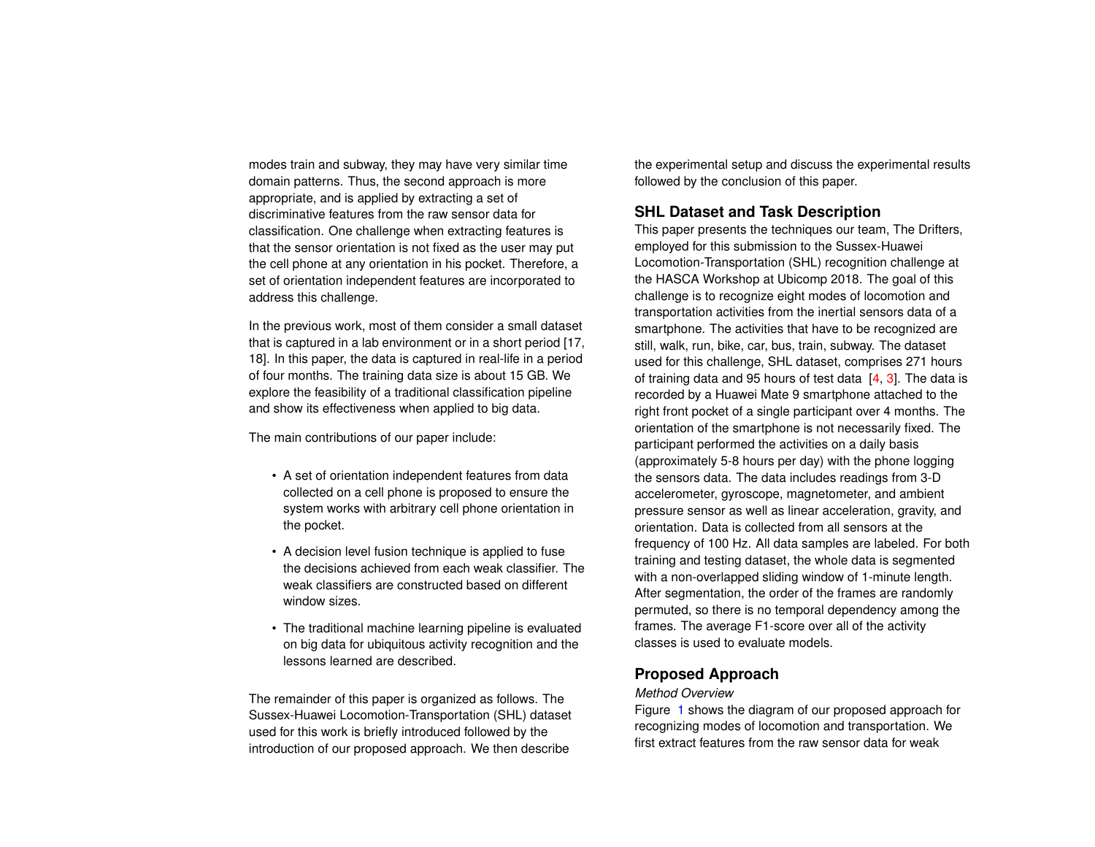modes train and subway, they may have very similar time domain patterns. Thus, the second approach is more appropriate, and is applied by extracting a set of discriminative features from the raw sensor data for classification. One challenge when extracting features is that the sensor orientation is not fixed as the user may put the cell phone at any orientation in his pocket. Therefore, a set of orientation independent features are incorporated to address this challenge.

In the previous work, most of them consider a small dataset that is captured in a lab environment or in a short period [17, 18]. In this paper, the data is captured in real-life in a period of four months. The training data size is about 15 GB. We explore the feasibility of a traditional classification pipeline and show its effectiveness when applied to big data.

The main contributions of our paper include:

- A set of orientation independent features from data collected on a cell phone is proposed to ensure the system works with arbitrary cell phone orientation in the pocket.
- A decision level fusion technique is applied to fuse the decisions achieved from each weak classifier. The weak classifiers are constructed based on different window sizes.
- The traditional machine learning pipeline is evaluated on big data for ubiquitous activity recognition and the lessons learned are described.

The remainder of this paper is organized as follows. The Sussex-Huawei Locomotion-Transportation (SHL) dataset used for this work is briefly introduced followed by the introduction of our proposed approach. We then describe

the experimental setup and discuss the experimental results followed by the conclusion of this paper.

# **SHL Dataset and Task Description**

This paper presents the techniques our team, The Drifters, employed for this submission to the Sussex-Huawei Locomotion-Transportation (SHL) recognition challenge at the HASCA Workshop at Ubicomp 2018. The goal of this challenge is to recognize eight modes of locomotion and transportation activities from the inertial sensors data of a smartphone. The activities that have to be recognized are still, walk, run, bike, car, bus, train, subway. The dataset used for this challenge, SHL dataset, comprises 271 hours of training data and 95 hours of test data  $[4, 3]$  $[4, 3]$  $[4, 3]$ . The data is recorded by a Huawei Mate 9 smartphone attached to the right front pocket of a single participant over 4 months. The orientation of the smartphone is not necessarily fixed. The participant performed the activities on a daily basis (approximately 5-8 hours per day) with the phone logging the sensors data. The data includes readings from 3-D accelerometer, gyroscope, magnetometer, and ambient pressure sensor as well as linear acceleration, gravity, and orientation. Data is collected from all sensors at the frequency of 100 Hz. All data samples are labeled. For both training and testing dataset, the whole data is segmented with a non-overlapped sliding window of 1-minute length. After segmentation, the order of the frames are randomly permuted, so there is no temporal dependency among the frames. The average F1-score over all of the activity classes is used to evaluate models.

# **Proposed Approach**

# *Method Overview*

Figure [1](#page-3-0) shows the diagram of our proposed approach for recognizing modes of locomotion and transportation. We first extract features from the raw sensor data for weak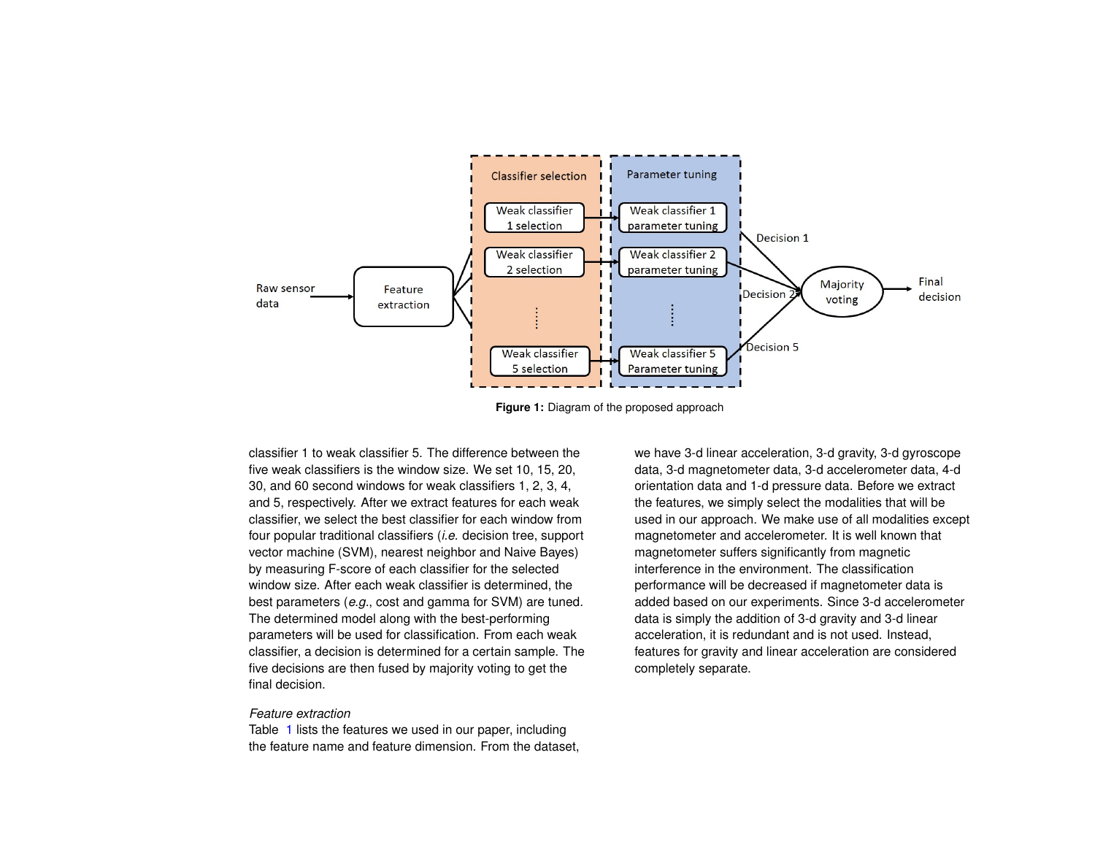<span id="page-3-0"></span>

**Figure 1:** Diagram of the proposed approach

classifier 1 to weak classifier 5. The difference between the five weak classifiers is the window size. We set 10, 15, 20, 30, and 60 second windows for weak classifiers 1, 2, 3, 4, and 5, respectively. After we extract features for each weak classifier, we select the best classifier for each window from four popular traditional classifiers (*i.e.* decision tree, support vector machine (SVM), nearest neighbor and Naive Bayes) by measuring F-score of each classifier for the selected window size. After each weak classifier is determined, the best parameters (*e.g.*, cost and gamma for SVM) are tuned. The determined model along with the best-performing parameters will be used for classification. From each weak classifier, a decision is determined for a certain sample. The five decisions are then fused by majority voting to get the final decision.

#### *Feature extraction*

Table [1](#page-4-0) lists the features we used in our paper, including the feature name and feature dimension. From the dataset, we have 3-d linear acceleration, 3-d gravity, 3-d gyroscope data, 3-d magnetometer data, 3-d accelerometer data, 4-d orientation data and 1-d pressure data. Before we extract the features, we simply select the modalities that will be used in our approach. We make use of all modalities except magnetometer and accelerometer. It is well known that magnetometer suffers significantly from magnetic interference in the environment. The classification performance will be decreased if magnetometer data is added based on our experiments. Since 3-d accelerometer data is simply the addition of 3-d gravity and 3-d linear acceleration, it is redundant and is not used. Instead, features for gravity and linear acceleration are considered completely separate.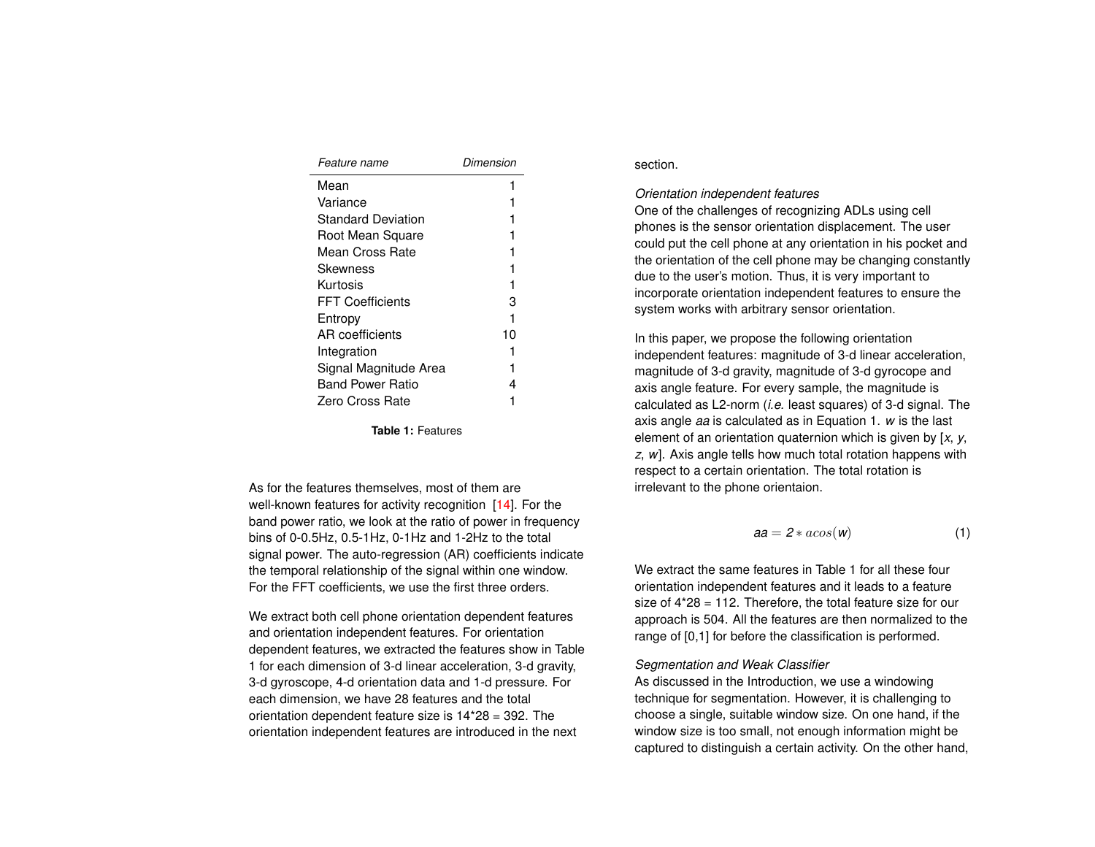| Feature name              | <i><b>Dimension</b></i> |
|---------------------------|-------------------------|
| Mean                      |                         |
| Variance                  |                         |
| <b>Standard Deviation</b> |                         |
| Root Mean Square          |                         |
| Mean Cross Rate           |                         |
| Skewness                  |                         |
| Kurtosis                  | 1                       |
| FFT Coefficients          | з                       |
| Entropy                   | 1                       |
| AR coefficients           | 10                      |
| Integration               |                         |
| Signal Magnitude Area     |                         |
| <b>Band Power Ratio</b>   | 4                       |
| Zero Cross Rate           |                         |

<span id="page-4-0"></span>**Table 1:** Features

As for the features themselves, most of them are well-known features for activity recognition [\[14\]](#page-7-11). For the band power ratio, we look at the ratio of power in frequency bins of 0-0.5Hz, 0.5-1Hz, 0-1Hz and 1-2Hz to the total signal power. The auto-regression (AR) coefficients indicate the temporal relationship of the signal within one window. For the FFT coefficients, we use the first three orders.

We extract both cell phone orientation dependent features and orientation independent features. For orientation dependent features, we extracted the features show in Table 1 for each dimension of 3-d linear acceleration, 3-d gravity, 3-d gyroscope, 4-d orientation data and 1-d pressure. For each dimension, we have 28 features and the total orientation dependent feature size is 14\*28 = 392. The orientation independent features are introduced in the next

## section.

*Orientation independent features*

One of the challenges of recognizing ADLs using cell phones is the sensor orientation displacement. The user could put the cell phone at any orientation in his pocket and the orientation of the cell phone may be changing constantly due to the user's motion. Thus, it is very important to incorporate orientation independent features to ensure the system works with arbitrary sensor orientation.

In this paper, we propose the following orientation independent features: magnitude of 3-d linear acceleration, magnitude of 3-d gravity, magnitude of 3-d gyrocope and axis angle feature. For every sample, the magnitude is calculated as L2-norm (*i.e.* least squares) of 3-d signal. The axis angle *aa* is calculated as in Equation 1. *w* is the last element of an orientation quaternion which is given by [*x*, *y*, *z*, *w*]. Axis angle tells how much total rotation happens with respect to a certain orientation. The total rotation is irrelevant to the phone orientaion.

$$
aa = 2 * a cos(w) \tag{1}
$$

We extract the same features in Table 1 for all these four orientation independent features and it leads to a feature size of  $4*28 = 112$ . Therefore, the total feature size for our approach is 504. All the features are then normalized to the range of [0,1] for before the classification is performed.

## *Segmentation and Weak Classifier*

As discussed in the Introduction, we use a windowing technique for segmentation. However, it is challenging to choose a single, suitable window size. On one hand, if the window size is too small, not enough information might be captured to distinguish a certain activity. On the other hand,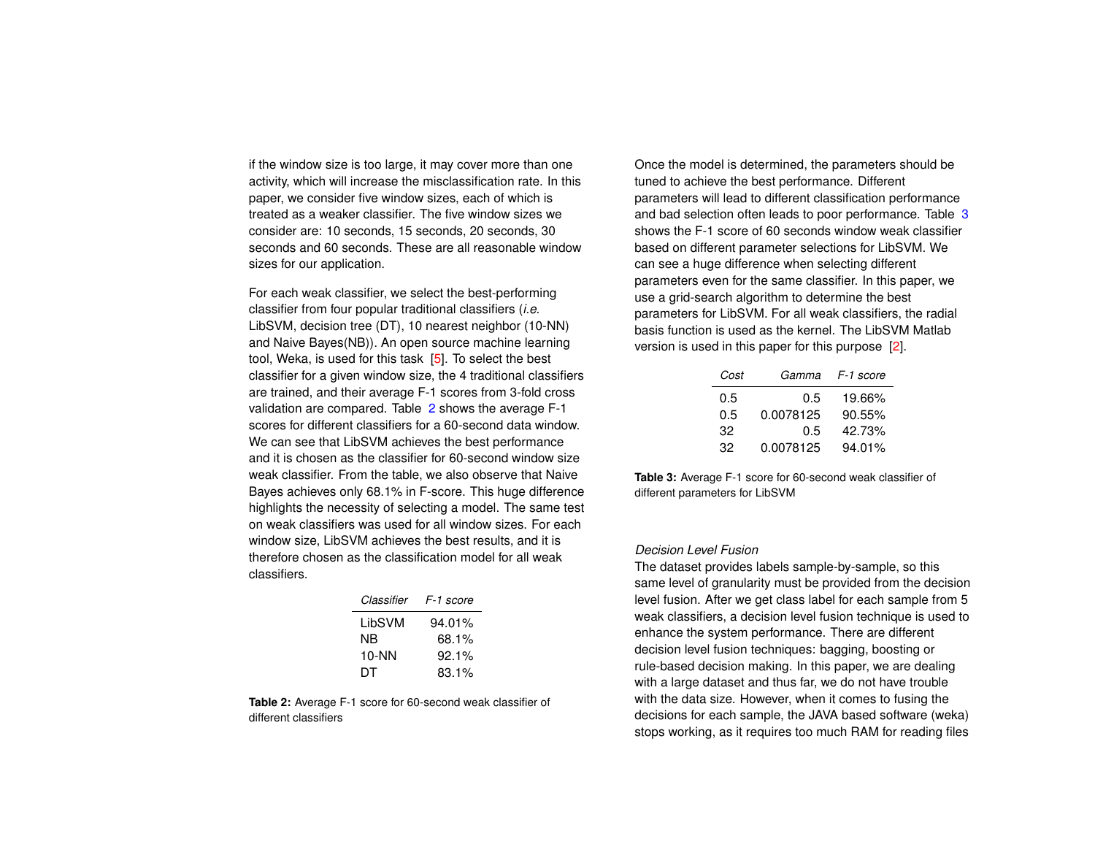if the window size is too large, it may cover more than one activity, which will increase the misclassification rate. In this paper, we consider five window sizes, each of which is treated as a weaker classifier. The five window sizes we consider are: 10 seconds, 15 seconds, 20 seconds, 30 seconds and 60 seconds. These are all reasonable window sizes for our application.

For each weak classifier, we select the best-performing classifier from four popular traditional classifiers (*i.e.* LibSVM, decision tree (DT), 10 nearest neighbor (10-NN) and Naive Bayes(NB)). An open source machine learning tool, Weka, is used for this task [\[5\]](#page-7-12). To select the best classifier for a given window size, the 4 traditional classifiers are trained, and their average F-1 scores from 3-fold cross validation are compared. Table [2](#page-5-0) shows the average F-1 scores for different classifiers for a 60-second data window. We can see that LibSVM achieves the best performance and it is chosen as the classifier for 60-second window size weak classifier. From the table, we also observe that Naive Bayes achieves only 68.1% in F-score. This huge difference highlights the necessity of selecting a model. The same test on weak classifiers was used for all window sizes. For each window size, LibSVM achieves the best results, and it is therefore chosen as the classification model for all weak classifiers.

| Classifier | F-1 score |  |
|------------|-----------|--|
| LibSVM     | 94.01%    |  |
| ΝB         | 68.1%     |  |
| $10-NN$    | $92.1\%$  |  |
| nт         | $83.1\%$  |  |

<span id="page-5-0"></span>**Table 2:** Average F-1 score for 60-second weak classifier of different classifiers

Once the model is determined, the parameters should be tuned to achieve the best performance. Different parameters will lead to different classification performance and bad selection often leads to poor performance. Table [3](#page-5-1) shows the F-1 score of 60 seconds window weak classifier based on different parameter selections for LibSVM. We can see a huge difference when selecting different parameters even for the same classifier. In this paper, we use a grid-search algorithm to determine the best parameters for LibSVM. For all weak classifiers, the radial basis function is used as the kernel. The LibSVM Matlab version is used in this paper for this purpose [\[2\]](#page-7-13).

| Cost | Gamma     | F-1 score |
|------|-----------|-----------|
| 0.5  | 0.5       | 19.66%    |
| 0.5  | 0.0078125 | 90.55%    |
| 32   | 0.5       | 42.73%    |
| 32   | 0.0078125 | 94.01%    |

<span id="page-5-1"></span>**Table 3:** Average F-1 score for 60-second weak classifier of different parameters for LibSVM

## *Decision Level Fusion*

The dataset provides labels sample-by-sample, so this same level of granularity must be provided from the decision level fusion. After we get class label for each sample from 5 weak classifiers, a decision level fusion technique is used to enhance the system performance. There are different decision level fusion techniques: bagging, boosting or rule-based decision making. In this paper, we are dealing with a large dataset and thus far, we do not have trouble with the data size. However, when it comes to fusing the decisions for each sample, the JAVA based software (weka) stops working, as it requires too much RAM for reading files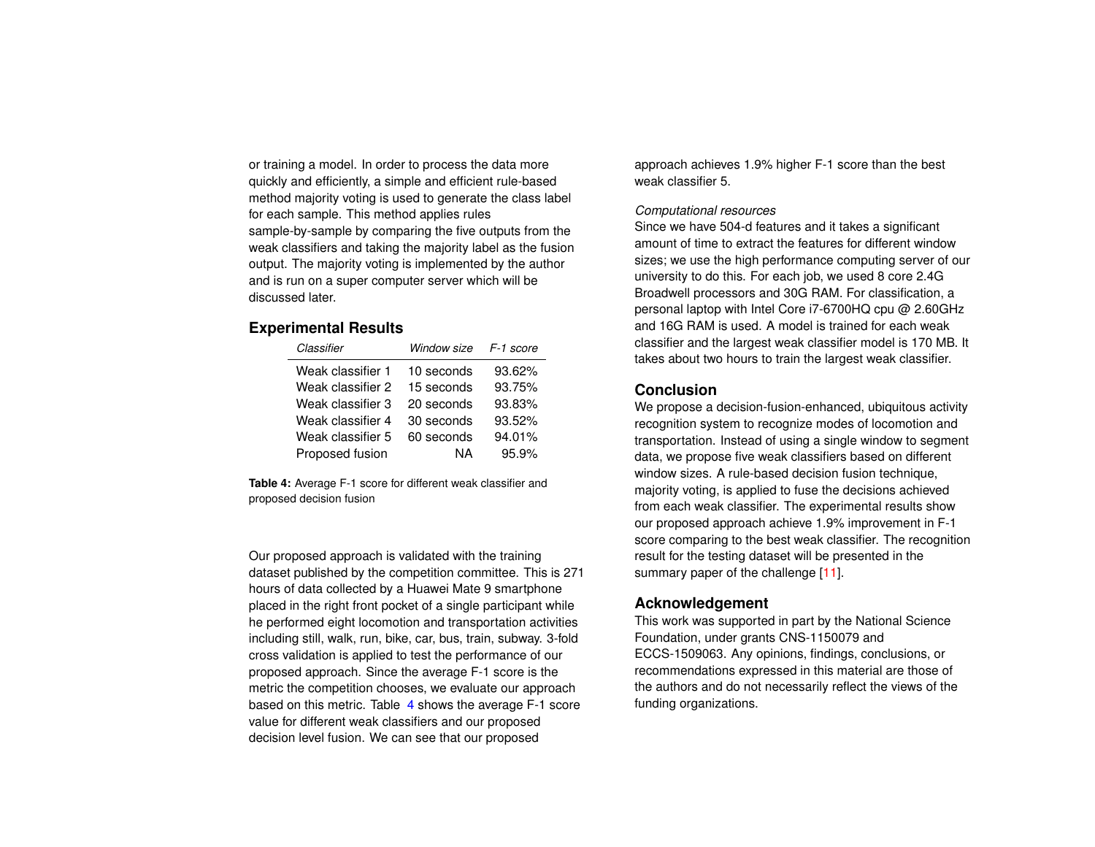or training a model. In order to process the data more quickly and efficiently, a simple and efficient rule-based method majority voting is used to generate the class label for each sample. This method applies rules sample-by-sample by comparing the five outputs from the weak classifiers and taking the majority label as the fusion output. The majority voting is implemented by the author and is run on a super computer server which will be discussed later.

# **Experimental Results**

| Classifier        | Window size | F-1 score |
|-------------------|-------------|-----------|
| Weak classifier 1 | 10 seconds  | 93.62%    |
| Weak classifier 2 | 15 seconds  | 93.75%    |
| Weak classifier 3 | 20 seconds  | 93.83%    |
| Weak classifier 4 | 30 seconds  | 93.52%    |
| Weak classifier 5 | 60 seconds  | 94.01%    |
| Proposed fusion   | ΝA          | 95.9%     |

<span id="page-6-0"></span>**Table 4:** Average F-1 score for different weak classifier and proposed decision fusion

Our proposed approach is validated with the training dataset published by the competition committee. This is 271 hours of data collected by a Huawei Mate 9 smartphone placed in the right front pocket of a single participant while he performed eight locomotion and transportation activities including still, walk, run, bike, car, bus, train, subway. 3-fold cross validation is applied to test the performance of our proposed approach. Since the average F-1 score is the metric the competition chooses, we evaluate our approach based on this metric. Table [4](#page-6-0) shows the average F-1 score value for different weak classifiers and our proposed decision level fusion. We can see that our proposed

approach achieves 1.9% higher F-1 score than the best weak classifier 5.

## *Computational resources*

Since we have 504-d features and it takes a significant amount of time to extract the features for different window sizes; we use the high performance computing server of our university to do this. For each job, we used 8 core 2.4G Broadwell processors and 30G RAM. For classification, a personal laptop with Intel Core i7-6700HQ cpu @ 2.60GHz and 16G RAM is used. A model is trained for each weak classifier and the largest weak classifier model is 170 MB. It takes about two hours to train the largest weak classifier.

# **Conclusion**

We propose a decision-fusion-enhanced, ubiquitous activity recognition system to recognize modes of locomotion and transportation. Instead of using a single window to segment data, we propose five weak classifiers based on different window sizes. A rule-based decision fusion technique, majority voting, is applied to fuse the decisions achieved from each weak classifier. The experimental results show our proposed approach achieve 1.9% improvement in F-1 score comparing to the best weak classifier. The recognition result for the testing dataset will be presented in the summary paper of the challenge [\[11\]](#page-7-14).

# **Acknowledgement**

This work was supported in part by the National Science Foundation, under grants CNS-1150079 and ECCS-1509063. Any opinions, findings, conclusions, or recommendations expressed in this material are those of the authors and do not necessarily reflect the views of the funding organizations.